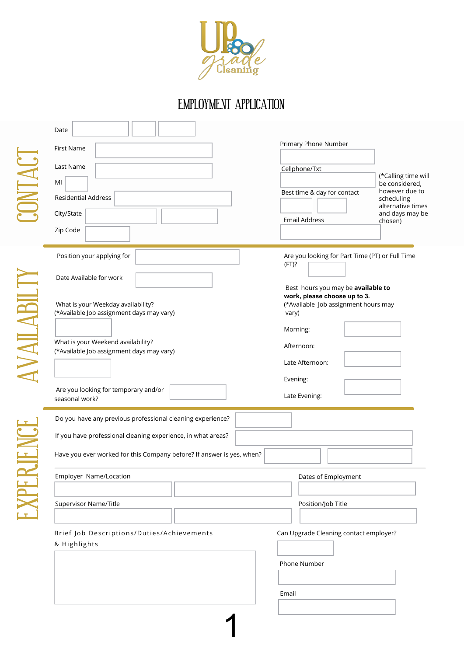

## EMPLOYMENT APPLICATION

| Date                                                                                                                                  |                                                                                                                     |
|---------------------------------------------------------------------------------------------------------------------------------------|---------------------------------------------------------------------------------------------------------------------|
| First Name                                                                                                                            | Primary Phone Number                                                                                                |
| Last Name<br>MI                                                                                                                       | Cellphone/Txt<br>(*Calling time will<br>be considered,                                                              |
| <b>Residential Address</b>                                                                                                            | however due to<br>Best time & day for contact<br>scheduling<br>alternative times                                    |
| City/State<br>Zip Code                                                                                                                | and days may be<br><b>Email Address</b><br>chosen)                                                                  |
| Position your applying for                                                                                                            | Are you looking for Part Time (PT) or Full Time<br>(FT)?                                                            |
| Date Available for work<br>What is your Weekday availability?<br>(*Available Job assignment days may vary)                            | Best hours you may be available to<br>work, please choose up to 3.<br>(*Available Job assignment hours may<br>vary) |
|                                                                                                                                       | Morning:                                                                                                            |
| What is your Weekend availability?<br>(*Available Job assignment days may vary)                                                       | Afternoon:                                                                                                          |
|                                                                                                                                       | Late Afternoon:<br>Evening:                                                                                         |
| Are you looking for temporary and/or<br>seasonal work?                                                                                | Late Evening:                                                                                                       |
| Do you have any previous professional cleaning experience?                                                                            |                                                                                                                     |
| If you have professional cleaning experience, in what areas?<br>Have you ever worked for this Company before? If answer is yes, when? |                                                                                                                     |
| Employer Name/Location                                                                                                                | Dates of Employment                                                                                                 |
| Supervisor Name/Title                                                                                                                 | Position/Job Title                                                                                                  |
| Brief Job Descriptions/Duties/Achievements<br>& Highlights                                                                            | Can Upgrade Cleaning contact employer?                                                                              |
|                                                                                                                                       | Phone Number                                                                                                        |
|                                                                                                                                       | Email                                                                                                               |
|                                                                                                                                       |                                                                                                                     |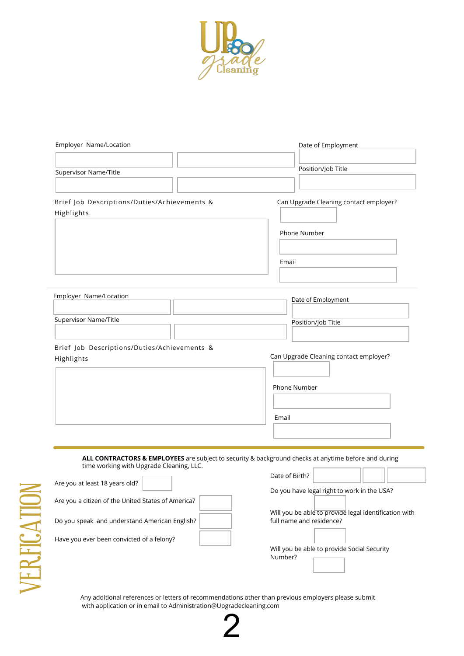

| Employer Name/Location                                                                                                                           | Date of Employment                                    |
|--------------------------------------------------------------------------------------------------------------------------------------------------|-------------------------------------------------------|
|                                                                                                                                                  |                                                       |
| Supervisor Name/Title                                                                                                                            | Position/Job Title                                    |
|                                                                                                                                                  |                                                       |
| Brief Job Descriptions/Duties/Achievements &<br>Highlights                                                                                       | Can Upgrade Cleaning contact employer?                |
|                                                                                                                                                  | Phone Number                                          |
|                                                                                                                                                  |                                                       |
|                                                                                                                                                  | Email                                                 |
|                                                                                                                                                  |                                                       |
| Employer Name/Location                                                                                                                           | Date of Employment                                    |
|                                                                                                                                                  |                                                       |
| Supervisor Name/Title                                                                                                                            | Position/Job Title                                    |
| Brief Job Descriptions/Duties/Achievements &                                                                                                     |                                                       |
| Highlights                                                                                                                                       | Can Upgrade Cleaning contact employer?                |
|                                                                                                                                                  |                                                       |
|                                                                                                                                                  | Phone Number                                          |
|                                                                                                                                                  | Email                                                 |
|                                                                                                                                                  |                                                       |
|                                                                                                                                                  |                                                       |
| ALL CONTRACTORS & EMPLOYEES are subject to security & background checks at anytime before and during<br>time working with Upgrade Cleaning, LLC. |                                                       |
| Are you at least 18 years old?                                                                                                                   | Date of Birth?                                        |
|                                                                                                                                                  | Do you have legal right to work in the USA?           |
| Are you a citizen of the United States of America?                                                                                               | Will you be able to provide legal identification with |
| Do you speak and understand American English?                                                                                                    | full name and residence?                              |
| Have you ever been convicted of a felony?                                                                                                        |                                                       |
|                                                                                                                                                  | Will you be able to provide Social Security           |
|                                                                                                                                                  | Number?                                               |

Any additional references or letters of recommendations other than previous employers please submit with application or in email to Administration@Upgradecleaning.com

2

 $\geq$